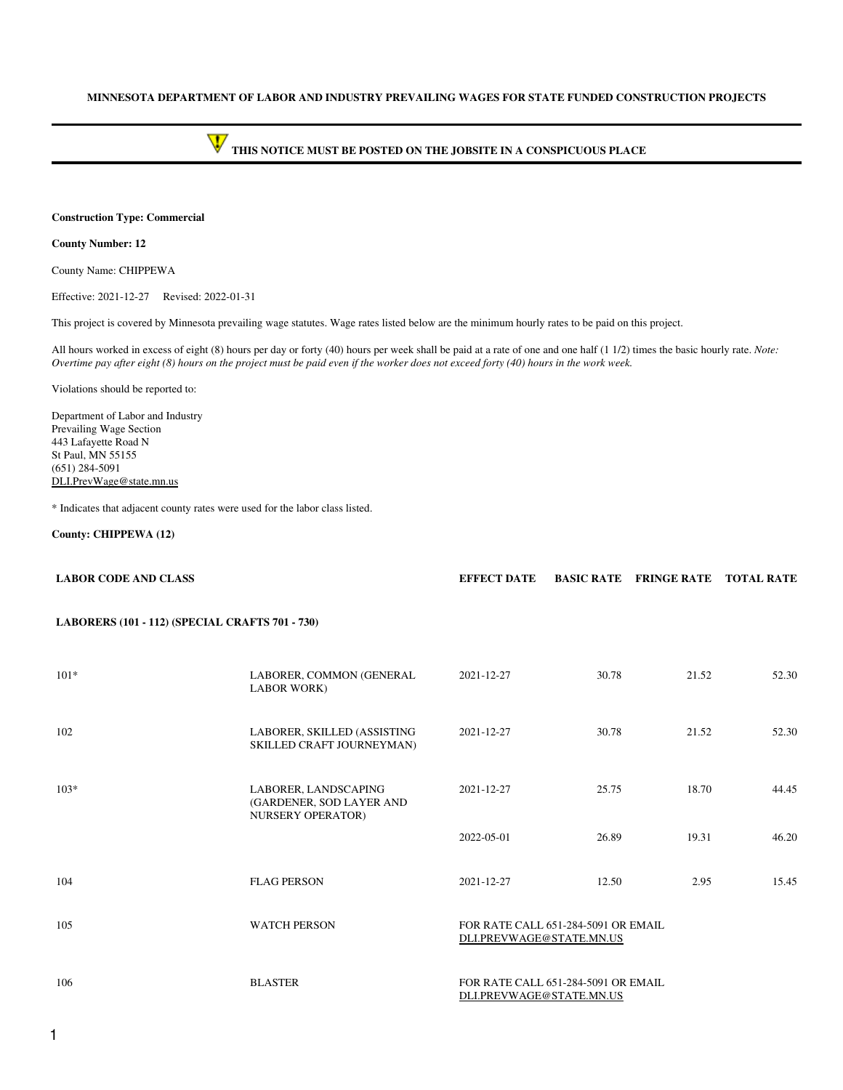### **MINNESOTA DEPARTMENT OF LABOR AND INDUSTRY PREVAILING WAGES FOR STATE FUNDED CONSTRUCTION PROJECTS**

# **THIS NOTICE MUST BE POSTED ON THE JOBSITE IN A CONSPICUOUS PLACE**

### **Construction Type: Commercial**

### **County Number: 12**

County Name: CHIPPEWA

Effective: 2021-12-27 Revised: 2022-01-31

This project is covered by Minnesota prevailing wage statutes. Wage rates listed below are the minimum hourly rates to be paid on this project.

All hours worked in excess of eight (8) hours per day or forty (40) hours per week shall be paid at a rate of one and one half (1 1/2) times the basic hourly rate. *Note: Overtime pay after eight (8) hours on the project must be paid even if the worker does not exceed forty (40) hours in the work week.*

Violations should be reported to:

Department of Labor and Industry Prevailing Wage Section 443 Lafayette Road N St Paul, MN 55155 (651) 284-5091 [DLI.PrevWage@state.mn.us](mailto:DLI.PrevWage@state.mn.us)

\* Indicates that adjacent county rates were used for the labor class listed.

### **County: CHIPPEWA (12)**

| <b>LABOR CODE AND CLASS</b>                     |                                                                              | <b>EFFECT DATE</b>                                              |       | <b>BASIC RATE FRINGE RATE TOTAL RATE</b> |       |  |
|-------------------------------------------------|------------------------------------------------------------------------------|-----------------------------------------------------------------|-------|------------------------------------------|-------|--|
| LABORERS (101 - 112) (SPECIAL CRAFTS 701 - 730) |                                                                              |                                                                 |       |                                          |       |  |
| $101*$                                          | LABORER, COMMON (GENERAL<br><b>LABOR WORK)</b>                               | 2021-12-27                                                      | 30.78 | 21.52                                    | 52.30 |  |
| 102                                             | LABORER, SKILLED (ASSISTING<br>SKILLED CRAFT JOURNEYMAN)                     | 2021-12-27                                                      | 30.78 | 21.52                                    | 52.30 |  |
| $103*$                                          | LABORER, LANDSCAPING<br>(GARDENER, SOD LAYER AND<br><b>NURSERY OPERATOR)</b> | 2021-12-27                                                      | 25.75 | 18.70                                    | 44.45 |  |
|                                                 |                                                                              | 2022-05-01                                                      | 26.89 | 19.31                                    | 46.20 |  |
| 104                                             | <b>FLAG PERSON</b>                                                           | 2021-12-27                                                      | 12.50 | 2.95                                     | 15.45 |  |
| 105                                             | <b>WATCH PERSON</b>                                                          | FOR RATE CALL 651-284-5091 OR EMAIL<br>DLI.PREVWAGE@STATE.MN.US |       |                                          |       |  |
| 106                                             | <b>BLASTER</b>                                                               | FOR RATE CALL 651-284-5091 OR EMAIL<br>DLI.PREVWAGE@STATE.MN.US |       |                                          |       |  |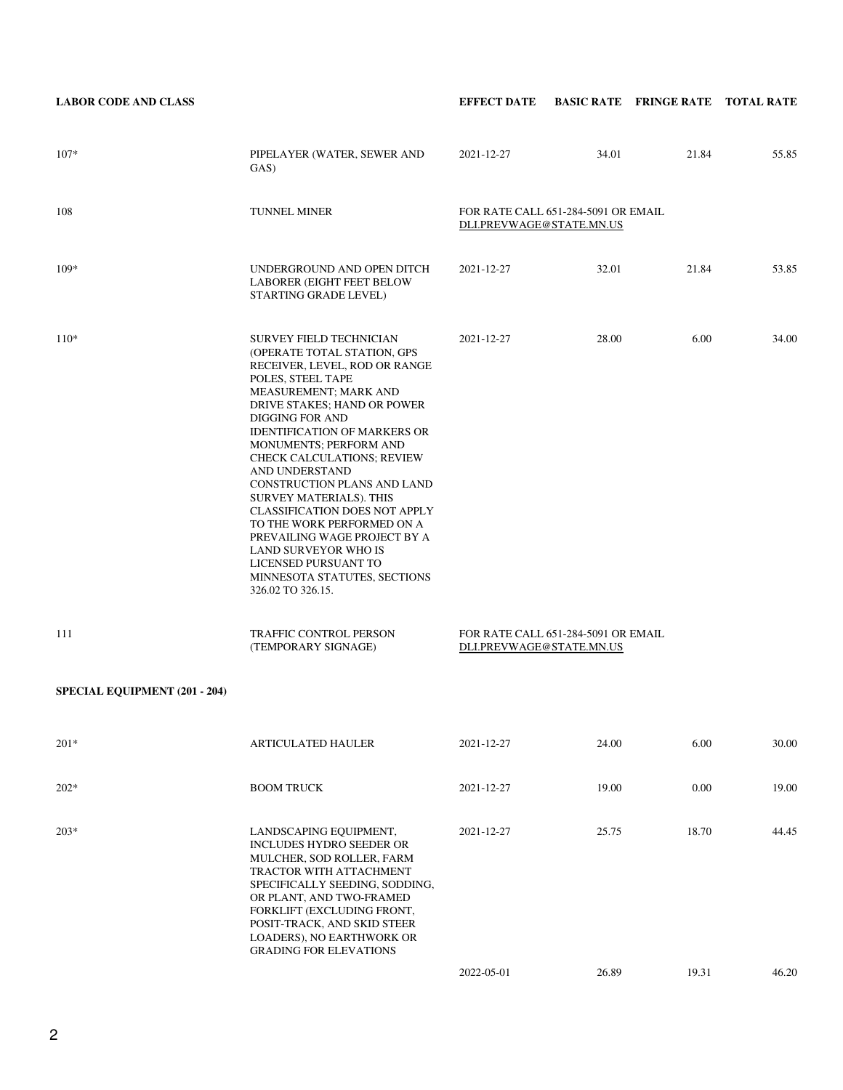| <b>LABOR CODE AND CLASS</b>          |                                                                                                                                                                                                                                                                                                                                                                                                                                                                                                                                                                                                    | <b>EFFECT DATE</b>                                              |       | <b>BASIC RATE FRINGE RATE TOTAL RATE</b> |       |
|--------------------------------------|----------------------------------------------------------------------------------------------------------------------------------------------------------------------------------------------------------------------------------------------------------------------------------------------------------------------------------------------------------------------------------------------------------------------------------------------------------------------------------------------------------------------------------------------------------------------------------------------------|-----------------------------------------------------------------|-------|------------------------------------------|-------|
| $107*$                               | PIPELAYER (WATER, SEWER AND<br>GAS)                                                                                                                                                                                                                                                                                                                                                                                                                                                                                                                                                                | 2021-12-27                                                      | 34.01 | 21.84                                    | 55.85 |
| 108                                  | TUNNEL MINER                                                                                                                                                                                                                                                                                                                                                                                                                                                                                                                                                                                       | FOR RATE CALL 651-284-5091 OR EMAIL<br>DLI.PREVWAGE@STATE.MN.US |       |                                          |       |
| $109*$                               | UNDERGROUND AND OPEN DITCH<br><b>LABORER (EIGHT FEET BELOW</b><br>STARTING GRADE LEVEL)                                                                                                                                                                                                                                                                                                                                                                                                                                                                                                            | 2021-12-27                                                      | 32.01 | 21.84                                    | 53.85 |
| $110*$                               | <b>SURVEY FIELD TECHNICIAN</b><br>(OPERATE TOTAL STATION, GPS<br>RECEIVER, LEVEL, ROD OR RANGE<br>POLES, STEEL TAPE<br>MEASUREMENT; MARK AND<br>DRIVE STAKES; HAND OR POWER<br>DIGGING FOR AND<br><b>IDENTIFICATION OF MARKERS OR</b><br>MONUMENTS; PERFORM AND<br><b>CHECK CALCULATIONS; REVIEW</b><br>AND UNDERSTAND<br>CONSTRUCTION PLANS AND LAND<br>SURVEY MATERIALS). THIS<br><b>CLASSIFICATION DOES NOT APPLY</b><br>TO THE WORK PERFORMED ON A<br>PREVAILING WAGE PROJECT BY A<br><b>LAND SURVEYOR WHO IS</b><br>LICENSED PURSUANT TO<br>MINNESOTA STATUTES, SECTIONS<br>326.02 TO 326.15. | 2021-12-27                                                      | 28.00 | 6.00                                     | 34.00 |
| 111                                  | <b>TRAFFIC CONTROL PERSON</b><br>(TEMPORARY SIGNAGE)                                                                                                                                                                                                                                                                                                                                                                                                                                                                                                                                               | FOR RATE CALL 651-284-5091 OR EMAIL<br>DLI.PREVWAGE@STATE.MN.US |       |                                          |       |
| <b>SPECIAL EQUIPMENT (201 - 204)</b> |                                                                                                                                                                                                                                                                                                                                                                                                                                                                                                                                                                                                    |                                                                 |       |                                          |       |
| $201*$                               | <b>ARTICULATED HAULER</b>                                                                                                                                                                                                                                                                                                                                                                                                                                                                                                                                                                          | 2021-12-27                                                      | 24.00 | 6.00                                     | 30.00 |
| $202*$                               | <b>BOOM TRUCK</b>                                                                                                                                                                                                                                                                                                                                                                                                                                                                                                                                                                                  | 2021-12-27                                                      | 19.00 | 0.00                                     | 19.00 |
| $203*$                               | LANDSCAPING EQUIPMENT,<br>INCLUDES HYDRO SEEDER OR<br>MULCHER, SOD ROLLER, FARM<br>TRACTOR WITH ATTACHMENT<br>SPECIFICALLY SEEDING, SODDING,<br>OR PLANT, AND TWO-FRAMED<br>FORKLIFT (EXCLUDING FRONT,<br>POSIT-TRACK, AND SKID STEER<br>LOADERS), NO EARTHWORK OR<br><b>GRADING FOR ELEVATIONS</b>                                                                                                                                                                                                                                                                                                | 2021-12-27                                                      | 25.75 | 18.70                                    | 44.45 |
|                                      |                                                                                                                                                                                                                                                                                                                                                                                                                                                                                                                                                                                                    | 2022-05-01                                                      | 26.89 | 19.31                                    | 46.20 |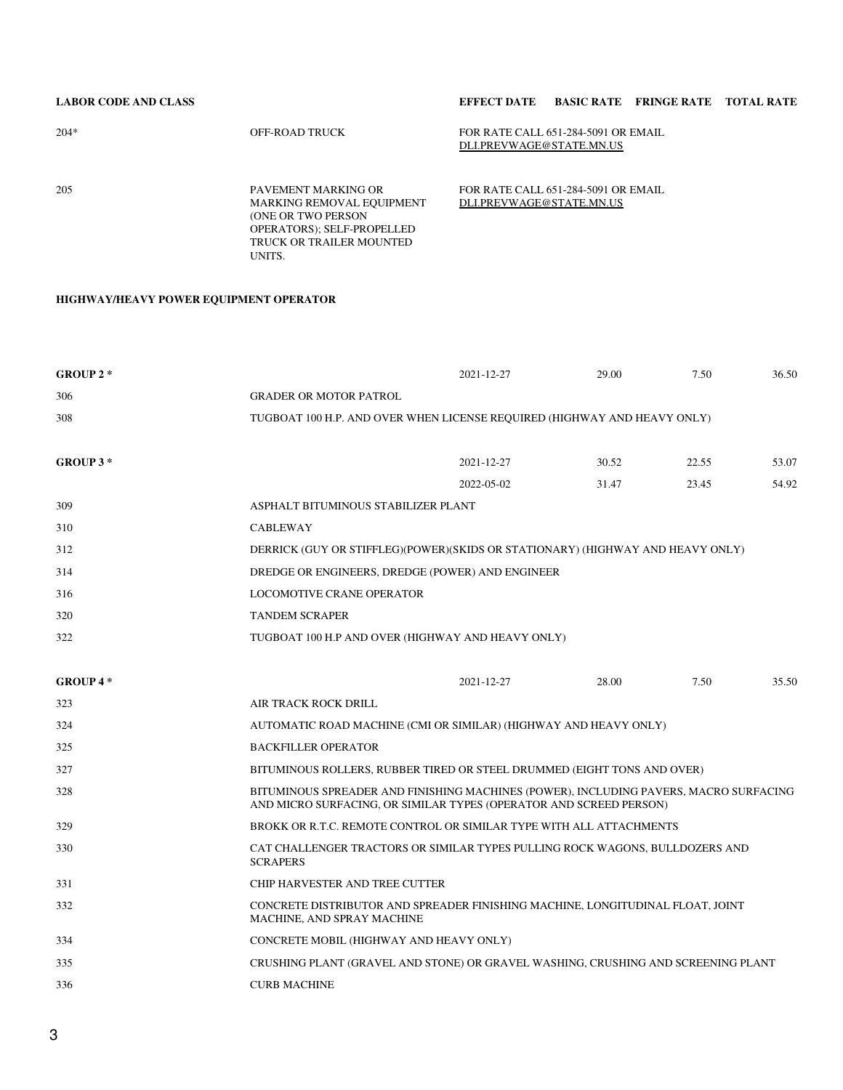# **LABOR CODE AND CLASS EFFECT DATE BASIC RATE FRINGE RATE TOTAL RATE**

| $204*$ | OFF-ROAD TRUCK                                                                        | FOR RATE CALL 651-284-5091 OR EMAIL<br>DLI.PREVWAGE@STATE.MN.US |
|--------|---------------------------------------------------------------------------------------|-----------------------------------------------------------------|
| 205    | PAVEMENT MARKING OR<br><b>MARKING REMOVAL EQUIPMENT</b><br><b>(ONE OR TWO PERSON)</b> | FOR RATE CALL 651-284-5091 OR EMAIL<br>DLI.PREVWAGE@STATE.MN.US |

OPERATORS); SELF-PROPELLED TRUCK OR TRAILER MOUNTED

UNITS.

# **HIGHWAY/HEAVY POWER EQUIPMENT OPERATOR**

| GROUP $2 *$ |                                         | 2021-12-27                                                                                                                                                  | 29.00 | 7.50  | 36.50 |
|-------------|-----------------------------------------|-------------------------------------------------------------------------------------------------------------------------------------------------------------|-------|-------|-------|
| 306         | <b>GRADER OR MOTOR PATROL</b>           |                                                                                                                                                             |       |       |       |
| 308         |                                         | TUGBOAT 100 H.P. AND OVER WHEN LICENSE REQUIRED (HIGHWAY AND HEAVY ONLY)                                                                                    |       |       |       |
|             |                                         |                                                                                                                                                             |       |       |       |
| GROUP 3*    |                                         | 2021-12-27                                                                                                                                                  | 30.52 | 22.55 | 53.07 |
|             |                                         | 2022-05-02                                                                                                                                                  | 31.47 | 23.45 | 54.92 |
| 309         | ASPHALT BITUMINOUS STABILIZER PLANT     |                                                                                                                                                             |       |       |       |
| 310         | <b>CABLEWAY</b>                         |                                                                                                                                                             |       |       |       |
| 312         |                                         | DERRICK (GUY OR STIFFLEG)(POWER)(SKIDS OR STATIONARY) (HIGHWAY AND HEAVY ONLY)                                                                              |       |       |       |
| 314         |                                         | DREDGE OR ENGINEERS, DREDGE (POWER) AND ENGINEER                                                                                                            |       |       |       |
| 316         | <b>LOCOMOTIVE CRANE OPERATOR</b>        |                                                                                                                                                             |       |       |       |
| 320         | <b>TANDEM SCRAPER</b>                   |                                                                                                                                                             |       |       |       |
| 322         |                                         | TUGBOAT 100 H.P AND OVER (HIGHWAY AND HEAVY ONLY)                                                                                                           |       |       |       |
|             |                                         |                                                                                                                                                             |       |       |       |
| GROUP 4*    |                                         | 2021-12-27                                                                                                                                                  | 28.00 | 7.50  | 35.50 |
| 323         | AIR TRACK ROCK DRILL                    |                                                                                                                                                             |       |       |       |
| 324         |                                         | AUTOMATIC ROAD MACHINE (CMI OR SIMILAR) (HIGHWAY AND HEAVY ONLY)                                                                                            |       |       |       |
| 325         | <b>BACKFILLER OPERATOR</b>              |                                                                                                                                                             |       |       |       |
| 327         |                                         | BITUMINOUS ROLLERS, RUBBER TIRED OR STEEL DRUMMED (EIGHT TONS AND OVER)                                                                                     |       |       |       |
| 328         |                                         | BITUMINOUS SPREADER AND FINISHING MACHINES (POWER), INCLUDING PAVERS, MACRO SURFACING<br>AND MICRO SURFACING, OR SIMILAR TYPES (OPERATOR AND SCREED PERSON) |       |       |       |
| 329         |                                         | BROKK OR R.T.C. REMOTE CONTROL OR SIMILAR TYPE WITH ALL ATTACHMENTS                                                                                         |       |       |       |
| 330         | <b>SCRAPERS</b>                         | CAT CHALLENGER TRACTORS OR SIMILAR TYPES PULLING ROCK WAGONS, BULLDOZERS AND                                                                                |       |       |       |
| 331         | CHIP HARVESTER AND TREE CUTTER          |                                                                                                                                                             |       |       |       |
| 332         | MACHINE, AND SPRAY MACHINE              | CONCRETE DISTRIBUTOR AND SPREADER FINISHING MACHINE, LONGITUDINAL FLOAT, JOINT                                                                              |       |       |       |
| 334         | CONCRETE MOBIL (HIGHWAY AND HEAVY ONLY) |                                                                                                                                                             |       |       |       |
| 335         |                                         | CRUSHING PLANT (GRAVEL AND STONE) OR GRAVEL WASHING, CRUSHING AND SCREENING PLANT                                                                           |       |       |       |
| 336         | <b>CURB MACHINE</b>                     |                                                                                                                                                             |       |       |       |
|             |                                         |                                                                                                                                                             |       |       |       |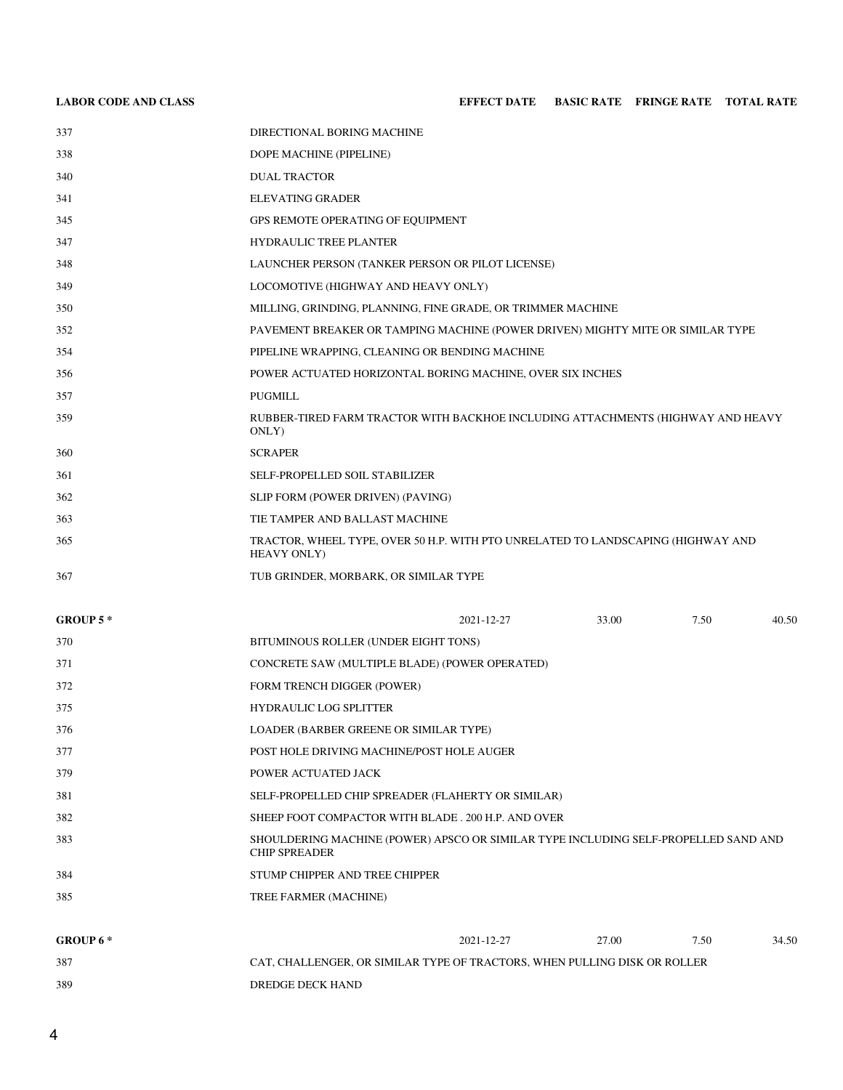# **LABOR CODE AND CLASS EFFECT DATE BASIC RATE FRINGE RATE TOTAL RATE**

| GROUP $5*$ |                                                                                                 | 2021-12-27                                                                     | 33.00 | 7.50 | 40.50 |  |  |
|------------|-------------------------------------------------------------------------------------------------|--------------------------------------------------------------------------------|-------|------|-------|--|--|
|            |                                                                                                 |                                                                                |       |      |       |  |  |
| 367        | TUB GRINDER, MORBARK, OR SIMILAR TYPE                                                           |                                                                                |       |      |       |  |  |
| 365        | TRACTOR, WHEEL TYPE, OVER 50 H.P. WITH PTO UNRELATED TO LANDSCAPING (HIGHWAY AND<br>HEAVY ONLY) |                                                                                |       |      |       |  |  |
| 363        | TIE TAMPER AND BALLAST MACHINE                                                                  |                                                                                |       |      |       |  |  |
| 362        | SLIP FORM (POWER DRIVEN) (PAVING)                                                               |                                                                                |       |      |       |  |  |
| 361        | SELF-PROPELLED SOIL STABILIZER                                                                  |                                                                                |       |      |       |  |  |
| 360        | <b>SCRAPER</b>                                                                                  |                                                                                |       |      |       |  |  |
| 359        | RUBBER-TIRED FARM TRACTOR WITH BACKHOE INCLUDING ATTACHMENTS (HIGHWAY AND HEAVY<br>ONLY)        |                                                                                |       |      |       |  |  |
| 357        | <b>PUGMILL</b>                                                                                  |                                                                                |       |      |       |  |  |
| 356        | POWER ACTUATED HORIZONTAL BORING MACHINE, OVER SIX INCHES                                       |                                                                                |       |      |       |  |  |
| 354        |                                                                                                 | PIPELINE WRAPPING, CLEANING OR BENDING MACHINE                                 |       |      |       |  |  |
| 352        |                                                                                                 | PAVEMENT BREAKER OR TAMPING MACHINE (POWER DRIVEN) MIGHTY MITE OR SIMILAR TYPE |       |      |       |  |  |
| 350        | MILLING, GRINDING, PLANNING, FINE GRADE, OR TRIMMER MACHINE                                     |                                                                                |       |      |       |  |  |
| 349        | LOCOMOTIVE (HIGHWAY AND HEAVY ONLY)                                                             |                                                                                |       |      |       |  |  |
| 348        | LAUNCHER PERSON (TANKER PERSON OR PILOT LICENSE)                                                |                                                                                |       |      |       |  |  |
| 347        | <b>HYDRAULIC TREE PLANTER</b>                                                                   |                                                                                |       |      |       |  |  |
| 345        | GPS REMOTE OPERATING OF EQUIPMENT                                                               |                                                                                |       |      |       |  |  |
| 341        | <b>ELEVATING GRADER</b>                                                                         |                                                                                |       |      |       |  |  |
| 340        | <b>DUAL TRACTOR</b>                                                                             |                                                                                |       |      |       |  |  |
| 338        | DOPE MACHINE (PIPELINE)                                                                         |                                                                                |       |      |       |  |  |
| 337        | DIRECTIONAL BORING MACHINE                                                                      |                                                                                |       |      |       |  |  |
|            |                                                                                                 |                                                                                |       |      |       |  |  |

| 370 | BITUMINOUS ROLLER (UNDER EIGHT TONS)                                                                        |
|-----|-------------------------------------------------------------------------------------------------------------|
| 371 | CONCRETE SAW (MULTIPLE BLADE) (POWER OPERATED)                                                              |
| 372 | <b>FORM TRENCH DIGGER (POWER)</b>                                                                           |
| 375 | <b>HYDRAULIC LOG SPLITTER</b>                                                                               |
| 376 | LOADER (BARBER GREENE OR SIMILAR TYPE)                                                                      |
| 377 | POST HOLE DRIVING MACHINE/POST HOLE AUGER                                                                   |
| 379 | POWER ACTUATED JACK                                                                                         |
| 381 | SELF-PROPELLED CHIP SPREADER (FLAHERTY OR SIMILAR)                                                          |
| 382 | SHEEP FOOT COMPACTOR WITH BLADE, 200 H.P. AND OVER                                                          |
| 383 | SHOULDERING MACHINE (POWER) APSCO OR SIMILAR TYPE INCLUDING SELF-PROPELLED SAND AND<br><b>CHIP SPREADER</b> |
| 384 | STUMP CHIPPER AND TREE CHIPPER                                                                              |
| 385 | TREE FARMER (MACHINE)                                                                                       |

| GROUP 6 * |                                                                           | 2021-12-27 | 27.00 | 7.50 | 34.50 |
|-----------|---------------------------------------------------------------------------|------------|-------|------|-------|
| 387       | CAT, CHALLENGER, OR SIMILAR TYPE OF TRACTORS, WHEN PULLING DISK OR ROLLER |            |       |      |       |
| 389       | DREDGE DECK HAND                                                          |            |       |      |       |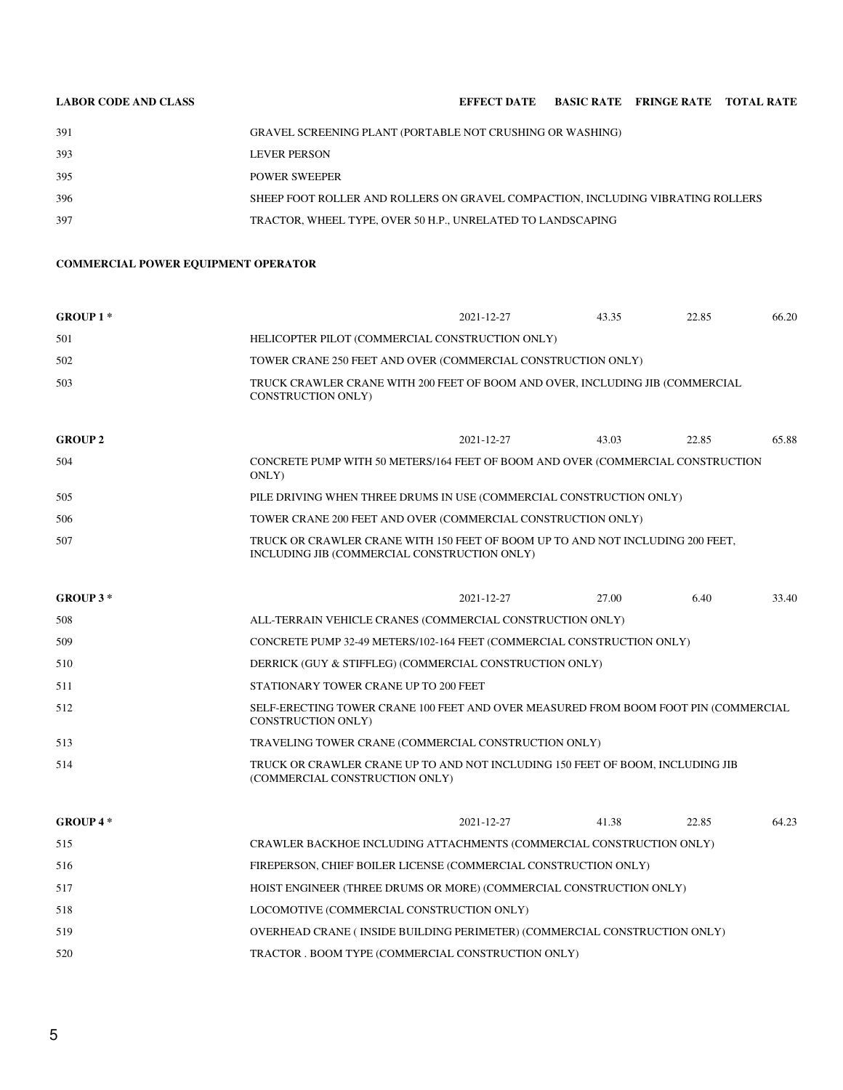| <b>LABOR CODE AND CLASS</b> |                                                                                 | EFFECT DATE BASIC RATE FRINGE RATE TOTAL RATE |  |  |
|-----------------------------|---------------------------------------------------------------------------------|-----------------------------------------------|--|--|
| 391                         | GRAVEL SCREENING PLANT (PORTABLE NOT CRUSHING OR WASHING)                       |                                               |  |  |
| 393                         | <b>LEVER PERSON</b>                                                             |                                               |  |  |
| 395                         | <b>POWER SWEEPER</b>                                                            |                                               |  |  |
| 396                         | SHEEP FOOT ROLLER AND ROLLERS ON GRAVEL COMPACTION, INCLUDING VIBRATING ROLLERS |                                               |  |  |

TRACTOR, WHEEL TYPE, OVER 50 H.P., UNRELATED TO LANDSCAPING

### **COMMERCIAL POWER EQUIPMENT OPERATOR**

| <b>GROUP 1*</b> |                                                                                                                                | 2021-12-27 | 43.35 | 22.85 | 66.20 |
|-----------------|--------------------------------------------------------------------------------------------------------------------------------|------------|-------|-------|-------|
| 501             | HELICOPTER PILOT (COMMERCIAL CONSTRUCTION ONLY)                                                                                |            |       |       |       |
| 502             | TOWER CRANE 250 FEET AND OVER (COMMERCIAL CONSTRUCTION ONLY)                                                                   |            |       |       |       |
| 503             | TRUCK CRAWLER CRANE WITH 200 FEET OF BOOM AND OVER, INCLUDING JIB (COMMERCIAL<br><b>CONSTRUCTION ONLY)</b>                     |            |       |       |       |
| <b>GROUP 2</b>  |                                                                                                                                | 2021-12-27 | 43.03 | 22.85 | 65.88 |
| 504             | CONCRETE PUMP WITH 50 METERS/164 FEET OF BOOM AND OVER (COMMERCIAL CONSTRUCTION<br>ONLY)                                       |            |       |       |       |
| 505             | PILE DRIVING WHEN THREE DRUMS IN USE (COMMERCIAL CONSTRUCTION ONLY)                                                            |            |       |       |       |
| 506             | TOWER CRANE 200 FEET AND OVER (COMMERCIAL CONSTRUCTION ONLY)                                                                   |            |       |       |       |
| 507             | TRUCK OR CRAWLER CRANE WITH 150 FEET OF BOOM UP TO AND NOT INCLUDING 200 FEET,<br>INCLUDING JIB (COMMERCIAL CONSTRUCTION ONLY) |            |       |       |       |
|                 |                                                                                                                                |            |       |       |       |

| GROUP $3*$ |                                                                                                                  | 2021-12-27 | 27.00 | 6.40 | 33.40 |
|------------|------------------------------------------------------------------------------------------------------------------|------------|-------|------|-------|
| 508        | ALL-TERRAIN VEHICLE CRANES (COMMERCIAL CONSTRUCTION ONLY)                                                        |            |       |      |       |
| 509        | CONCRETE PUMP 32-49 METERS/102-164 FEET (COMMERCIAL CONSTRUCTION ONLY)                                           |            |       |      |       |
| 510        | DERRICK (GUY & STIFFLEG) (COMMERCIAL CONSTRUCTION ONLY)                                                          |            |       |      |       |
| 511        | STATIONARY TOWER CRANE UP TO 200 FEET                                                                            |            |       |      |       |
| 512        | SELF-ERECTING TOWER CRANE 100 FEET AND OVER MEASURED FROM BOOM FOOT PIN (COMMERCIAL<br><b>CONSTRUCTION ONLY)</b> |            |       |      |       |
| 513        | TRAVELING TOWER CRANE (COMMERCIAL CONSTRUCTION ONLY)                                                             |            |       |      |       |
| 514        | TRUCK OR CRAWLER CRANE UP TO AND NOT INCLUDING 150 FEET OF BOOM. INCLUDING JIB<br>(COMMERCIAL CONSTRUCTION ONLY) |            |       |      |       |

| $GROUP 4*$ |                                                                           | 2021-12-27 | 41.38 | 22.85 | 64.23 |
|------------|---------------------------------------------------------------------------|------------|-------|-------|-------|
| 515        | CRAWLER BACKHOE INCLUDING ATTACHMENTS (COMMERCIAL CONSTRUCTION ONLY)      |            |       |       |       |
| 516        | FIREPERSON, CHIEF BOILER LICENSE (COMMERCIAL CONSTRUCTION ONLY)           |            |       |       |       |
| 517        | HOIST ENGINEER (THREE DRUMS OR MORE) (COMMERCIAL CONSTRUCTION ONLY)       |            |       |       |       |
| 518        | LOCOMOTIVE (COMMERCIAL CONSTRUCTION ONLY)                                 |            |       |       |       |
| 519        | OVERHEAD CRANE (INSIDE BUILDING PERIMETER) (COMMERCIAL CONSTRUCTION ONLY) |            |       |       |       |
| 520        | TRACTOR . BOOM TYPE (COMMERCIAL CONSTRUCTION ONLY)                        |            |       |       |       |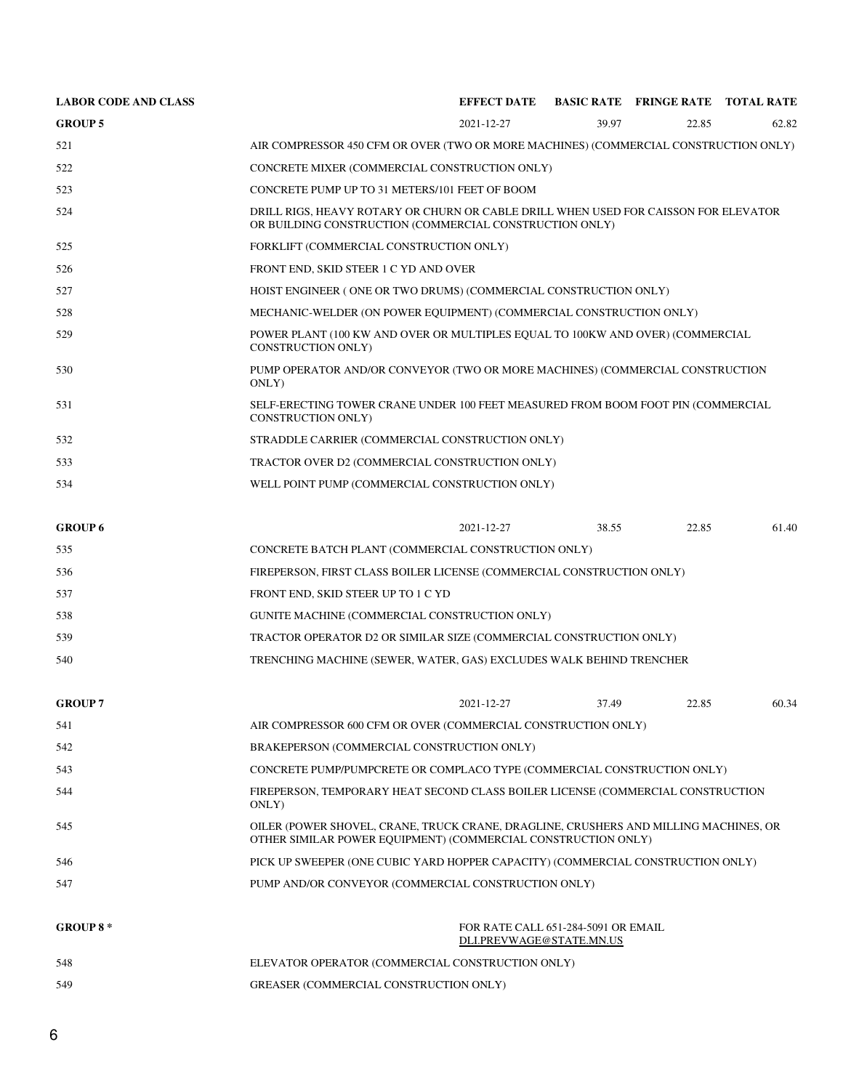| <b>LABOR CODE AND CLASS</b> |                                                                                                                                                       | <b>EFFECT DATE</b>                                                               |       | <b>BASIC RATE FRINGE RATE TOTAL RATE</b> |       |  |  |
|-----------------------------|-------------------------------------------------------------------------------------------------------------------------------------------------------|----------------------------------------------------------------------------------|-------|------------------------------------------|-------|--|--|
| <b>GROUP 5</b>              |                                                                                                                                                       | 2021-12-27                                                                       | 39.97 | 22.85                                    | 62.82 |  |  |
| 521                         | AIR COMPRESSOR 450 CFM OR OVER (TWO OR MORE MACHINES) (COMMERCIAL CONSTRUCTION ONLY)                                                                  |                                                                                  |       |                                          |       |  |  |
| 522                         | CONCRETE MIXER (COMMERCIAL CONSTRUCTION ONLY)                                                                                                         |                                                                                  |       |                                          |       |  |  |
| 523                         | CONCRETE PUMP UP TO 31 METERS/101 FEET OF BOOM                                                                                                        |                                                                                  |       |                                          |       |  |  |
| 524                         | DRILL RIGS, HEAVY ROTARY OR CHURN OR CABLE DRILL WHEN USED FOR CAISSON FOR ELEVATOR<br>OR BUILDING CONSTRUCTION (COMMERCIAL CONSTRUCTION ONLY)        |                                                                                  |       |                                          |       |  |  |
| 525                         | FORKLIFT (COMMERCIAL CONSTRUCTION ONLY)                                                                                                               |                                                                                  |       |                                          |       |  |  |
| 526                         | FRONT END, SKID STEER 1 C YD AND OVER                                                                                                                 |                                                                                  |       |                                          |       |  |  |
| 527                         | HOIST ENGINEER (ONE OR TWO DRUMS) (COMMERCIAL CONSTRUCTION ONLY)                                                                                      |                                                                                  |       |                                          |       |  |  |
| 528                         | MECHANIC-WELDER (ON POWER EQUIPMENT) (COMMERCIAL CONSTRUCTION ONLY)                                                                                   |                                                                                  |       |                                          |       |  |  |
| 529                         | POWER PLANT (100 KW AND OVER OR MULTIPLES EQUAL TO 100KW AND OVER) (COMMERCIAL<br><b>CONSTRUCTION ONLY)</b>                                           |                                                                                  |       |                                          |       |  |  |
| 530                         | PUMP OPERATOR AND/OR CONVEYOR (TWO OR MORE MACHINES) (COMMERCIAL CONSTRUCTION<br>ONLY)                                                                |                                                                                  |       |                                          |       |  |  |
| 531                         | <b>CONSTRUCTION ONLY)</b>                                                                                                                             | SELF-ERECTING TOWER CRANE UNDER 100 FEET MEASURED FROM BOOM FOOT PIN (COMMERCIAL |       |                                          |       |  |  |
| 532                         | STRADDLE CARRIER (COMMERCIAL CONSTRUCTION ONLY)                                                                                                       |                                                                                  |       |                                          |       |  |  |
| 533                         | TRACTOR OVER D2 (COMMERCIAL CONSTRUCTION ONLY)                                                                                                        |                                                                                  |       |                                          |       |  |  |
| 534                         | WELL POINT PUMP (COMMERCIAL CONSTRUCTION ONLY)                                                                                                        |                                                                                  |       |                                          |       |  |  |
| <b>GROUP 6</b>              |                                                                                                                                                       | 2021-12-27                                                                       | 38.55 | 22.85                                    | 61.40 |  |  |
| 535                         | CONCRETE BATCH PLANT (COMMERCIAL CONSTRUCTION ONLY)                                                                                                   |                                                                                  |       |                                          |       |  |  |
| 536                         | FIREPERSON, FIRST CLASS BOILER LICENSE (COMMERCIAL CONSTRUCTION ONLY)                                                                                 |                                                                                  |       |                                          |       |  |  |
| 537                         | FRONT END, SKID STEER UP TO 1 C YD                                                                                                                    |                                                                                  |       |                                          |       |  |  |
| 538                         | GUNITE MACHINE (COMMERCIAL CONSTRUCTION ONLY)                                                                                                         |                                                                                  |       |                                          |       |  |  |
| 539                         | TRACTOR OPERATOR D2 OR SIMILAR SIZE (COMMERCIAL CONSTRUCTION ONLY)                                                                                    |                                                                                  |       |                                          |       |  |  |
| 540                         |                                                                                                                                                       | TRENCHING MACHINE (SEWER, WATER, GAS) EXCLUDES WALK BEHIND TRENCHER              |       |                                          |       |  |  |
| <b>GROUP 7</b>              |                                                                                                                                                       | 2021-12-27                                                                       | 37.49 | 22.85                                    | 60.34 |  |  |
| 541                         | AIR COMPRESSOR 600 CFM OR OVER (COMMERCIAL CONSTRUCTION ONLY)                                                                                         |                                                                                  |       |                                          |       |  |  |
| 542                         | BRAKEPERSON (COMMERCIAL CONSTRUCTION ONLY)                                                                                                            |                                                                                  |       |                                          |       |  |  |
| 543                         | CONCRETE PUMP/PUMPCRETE OR COMPLACO TYPE (COMMERCIAL CONSTRUCTION ONLY)                                                                               |                                                                                  |       |                                          |       |  |  |
| 544                         | FIREPERSON, TEMPORARY HEAT SECOND CLASS BOILER LICENSE (COMMERCIAL CONSTRUCTION<br>ONLY)                                                              |                                                                                  |       |                                          |       |  |  |
| 545                         | OILER (POWER SHOVEL, CRANE, TRUCK CRANE, DRAGLINE, CRUSHERS AND MILLING MACHINES, OR<br>OTHER SIMILAR POWER EQUIPMENT) (COMMERCIAL CONSTRUCTION ONLY) |                                                                                  |       |                                          |       |  |  |
| 546                         | PICK UP SWEEPER (ONE CUBIC YARD HOPPER CAPACITY) (COMMERCIAL CONSTRUCTION ONLY)                                                                       |                                                                                  |       |                                          |       |  |  |
| 547                         | PUMP AND/OR CONVEYOR (COMMERCIAL CONSTRUCTION ONLY)                                                                                                   |                                                                                  |       |                                          |       |  |  |
| <b>GROUP 8*</b>             | FOR RATE CALL 651-284-5091 OR EMAIL<br>DLI.PREVWAGE@STATE.MN.US                                                                                       |                                                                                  |       |                                          |       |  |  |
| 548                         | ELEVATOR OPERATOR (COMMERCIAL CONSTRUCTION ONLY)                                                                                                      |                                                                                  |       |                                          |       |  |  |
| 549                         | GREASER (COMMERCIAL CONSTRUCTION ONLY)                                                                                                                |                                                                                  |       |                                          |       |  |  |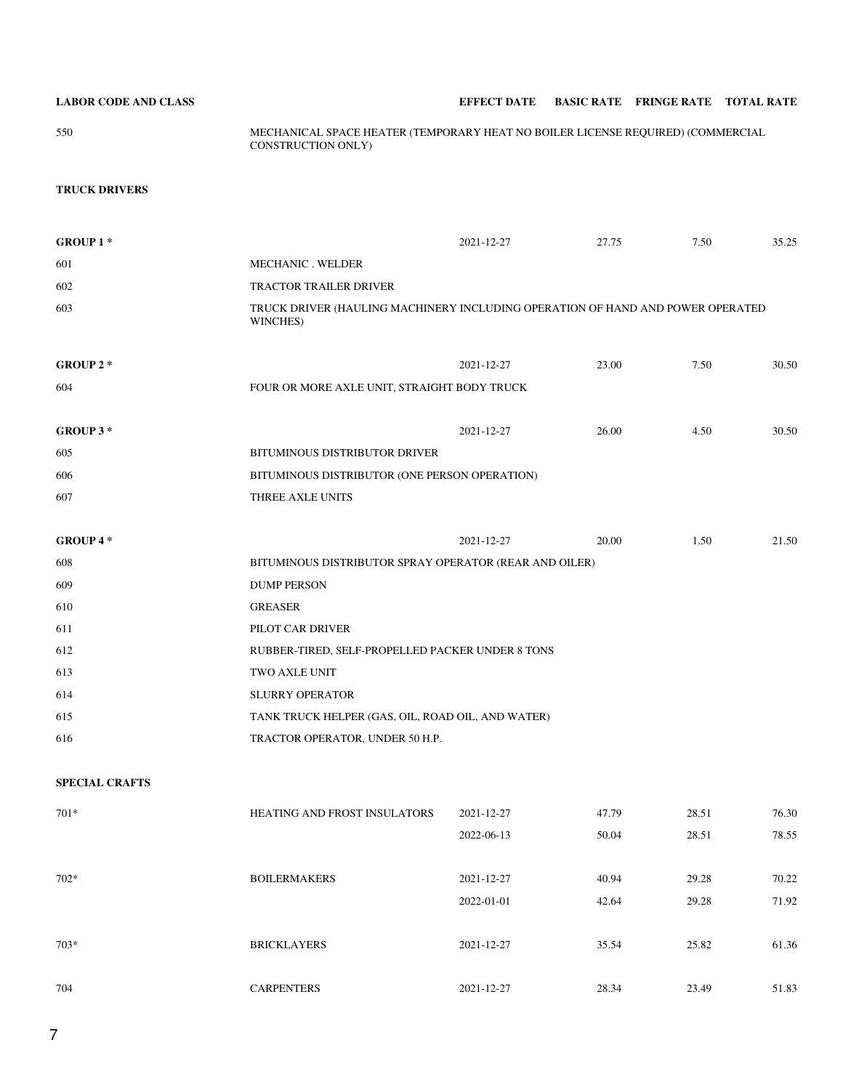| <b>LABOR CODE AND CLASS</b> | <b>EFFECT DATE</b> | <b>BASIC RATE FRINGE RATE TOTAL RATE</b> |  |
|-----------------------------|--------------------|------------------------------------------|--|

550 MECHANICAL SPACE HEATER (TEMPORARY HEAT NO BOILER LICENSE REQUIRED) (COMMERCIAL CONSTRUCTION ONLY)

## **TRUCK DRIVERS**

|                                                        | 2021-12-27 | 27.75                                       | 7.50  | 35.25                                                                          |  |  |  |
|--------------------------------------------------------|------------|---------------------------------------------|-------|--------------------------------------------------------------------------------|--|--|--|
| MECHANIC . WELDER                                      |            |                                             |       |                                                                                |  |  |  |
| <b>TRACTOR TRAILER DRIVER</b>                          |            |                                             |       |                                                                                |  |  |  |
| WINCHES)                                               |            |                                             |       |                                                                                |  |  |  |
|                                                        | 2021-12-27 | 23.00                                       | 7.50  | 30.50                                                                          |  |  |  |
|                                                        |            |                                             |       |                                                                                |  |  |  |
|                                                        |            |                                             |       |                                                                                |  |  |  |
|                                                        | 2021-12-27 | 26.00                                       | 4.50  | 30.50                                                                          |  |  |  |
| BITUMINOUS DISTRIBUTOR DRIVER                          |            |                                             |       |                                                                                |  |  |  |
| BITUMINOUS DISTRIBUTOR (ONE PERSON OPERATION)          |            |                                             |       |                                                                                |  |  |  |
| THREE AXLE UNITS                                       |            |                                             |       |                                                                                |  |  |  |
|                                                        |            |                                             |       |                                                                                |  |  |  |
|                                                        | 2021-12-27 | 20.00                                       | 1.50  | 21.50                                                                          |  |  |  |
| BITUMINOUS DISTRIBUTOR SPRAY OPERATOR (REAR AND OILER) |            |                                             |       |                                                                                |  |  |  |
| <b>DUMP PERSON</b>                                     |            |                                             |       |                                                                                |  |  |  |
| <b>GREASER</b>                                         |            |                                             |       |                                                                                |  |  |  |
| PILOT CAR DRIVER                                       |            |                                             |       |                                                                                |  |  |  |
| RUBBER-TIRED, SELF-PROPELLED PACKER UNDER 8 TONS       |            |                                             |       |                                                                                |  |  |  |
| TWO AXLE UNIT                                          |            |                                             |       |                                                                                |  |  |  |
| <b>SLURRY OPERATOR</b>                                 |            |                                             |       |                                                                                |  |  |  |
| TANK TRUCK HELPER (GAS, OIL, ROAD OIL, AND WATER)      |            |                                             |       |                                                                                |  |  |  |
| TRACTOR OPERATOR, UNDER 50 H.P.                        |            |                                             |       |                                                                                |  |  |  |
|                                                        |            |                                             |       |                                                                                |  |  |  |
|                                                        |            |                                             |       |                                                                                |  |  |  |
| HEATING AND FROST INSULATORS                           | 2021-12-27 | 47.79                                       | 28.51 | 76.30                                                                          |  |  |  |
|                                                        | 2022-06-13 | 50.04                                       | 28.51 | 78.55                                                                          |  |  |  |
|                                                        |            |                                             |       |                                                                                |  |  |  |
| <b>BOILERMAKERS</b>                                    | 2021-12-27 | 40.94                                       | 29.28 | 70.22                                                                          |  |  |  |
|                                                        | 2022-01-01 | 42.64                                       | 29.28 | 71.92                                                                          |  |  |  |
|                                                        |            |                                             |       |                                                                                |  |  |  |
| <b>BRICKLAYERS</b>                                     | 2021-12-27 | 35.54                                       | 25.82 | 61.36                                                                          |  |  |  |
|                                                        |            |                                             |       |                                                                                |  |  |  |
| <b>CARPENTERS</b>                                      | 2021-12-27 | 28.34                                       | 23.49 | 51.83                                                                          |  |  |  |
|                                                        |            | FOUR OR MORE AXLE UNIT, STRAIGHT BODY TRUCK |       | TRUCK DRIVER (HAULING MACHINERY INCLUDING OPERATION OF HAND AND POWER OPERATED |  |  |  |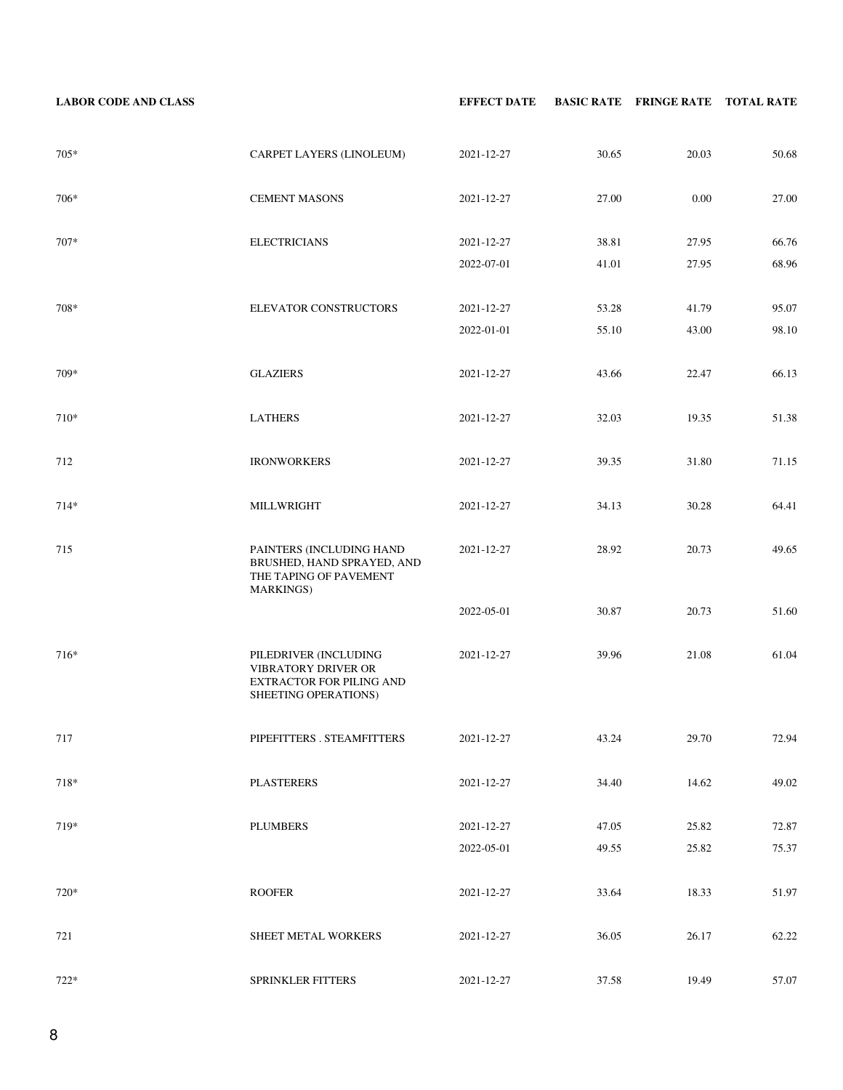**LABOR CODE AND CLASS EFFECT DATE BASIC RATE FRINGE RATE TOTAL RATE** 705\* CARPET LAYERS (LINOLEUM) 2021-12-27 30.65 20.03 50.68 706\* CEMENT MASONS 2021-12-27 27.00 0.00 27.00 707\* ELECTRICIANS 2021-12-27 38.81 27.95 66.76 2022-07-01 41.01 27.95 68.96 708\* ELEVATOR CONSTRUCTORS 2021-12-27 53.28 41.79 95.07 2022-01-01 55.10 43.00 98.10 709\* GLAZIERS 2021-12-27 43.66 22.47 66.13 710\* LATHERS 2021-12-27 32.03 19.35 51.38 712 **IRONWORKERS** 2021-12-27 39.35 31.80 71.15 714\* MILLWRIGHT 2021-12-27 34.13 30.28 64.41 715 PAINTERS (INCLUDING HAND BRUSHED, HAND SPRAYED, AND THE TAPING OF PAVEMENT MARKINGS) 2021-12-27 28.92 20.73 49.65 2022-05-01 30.87 20.73 51.60 716\* PILEDRIVER (INCLUDING VIBRATORY DRIVER OR EXTRACTOR FOR PILING AND SHEETING OPERATIONS) 2021-12-27 39.96 21.08 61.04 717 PIPEFITTERS . STEAMFITTERS 2021-12-27 43.24 29.70 72.94 718\* PLASTERERS 2021-12-27 34.40 14.62 49.02 719\* PLUMBERS 2021-12-27 47.05 25.82 72.87 2022-05-01 49.55 25.82 75.37 720\* ROOFER 2021-12-27 33.64 18.33 51.97 721 SHEET METAL WORKERS 2021-12-27 36.05 26.17 62.22 722\* SPRINKLER FITTERS 2021-12-27 37.58 19.49 57.07